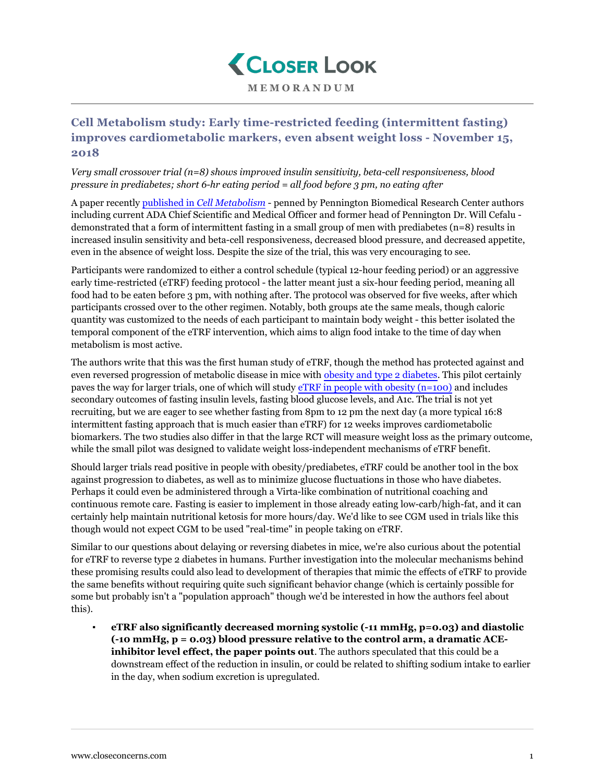

## **MEMORANDUM**

## **Cell Metabolism study: Early time-restricted feeding (intermittent fasting) improves cardiometabolic markers, even absent weight loss - November 15, 2018**

## *Very small crossover trial (n=8) shows improved insulin sensitivity, beta-cell responsiveness, blood pressure in prediabetes; short 6-hr eating period = all food before 3 pm, no eating after*

A paper recently published in *[Cell Metabolism](https://www.cell.com/cell-metabolism/fulltext/S1550-4131(18)30253-5)* - penned by Pennington Biomedical Research Center authors including current ADA Chief Scientific and Medical Officer and former head of Pennington Dr. Will Cefalu demonstrated that a form of intermittent fasting in a small group of men with prediabetes (n=8) results in increased insulin sensitivity and beta-cell responsiveness, decreased blood pressure, and decreased appetite, even in the absence of weight loss. Despite the size of the trial, this was very encouraging to see.

Participants were randomized to either a control schedule (typical 12-hour feeding period) or an aggressive early time-restricted (eTRF) feeding protocol - the latter meant just a six-hour feeding period, meaning all food had to be eaten before 3 pm, with nothing after. The protocol was observed for five weeks, after which participants crossed over to the other regimen. Notably, both groups ate the same meals, though caloric quantity was customized to the needs of each participant to maintain body weight - this better isolated the temporal component of the eTRF intervention, which aims to align food intake to the time of day when metabolism is most active.

The authors write that this was the first human study of eTRF, though the method has protected against and even reversed progression of metabolic disease in mice with [obesity and type 2 diabetes.](https://www.closeconcerns.com/knowledgebase/r/fd67b661) This pilot certainly paves the way for larger trials, one of which will study [eTRF in people with obesity \(n=100\)](https://clinicaltrials.gov/ct2/show/NCT03393195) and includes secondary outcomes of fasting insulin levels, fasting blood glucose levels, and A1c. The trial is not yet recruiting, but we are eager to see whether fasting from 8pm to 12 pm the next day (a more typical 16:8 intermittent fasting approach that is much easier than eTRF) for 12 weeks improves cardiometabolic biomarkers. The two studies also differ in that the large RCT will measure weight loss as the primary outcome, while the small pilot was designed to validate weight loss-independent mechanisms of eTRF benefit.

Should larger trials read positive in people with obesity/prediabetes, eTRF could be another tool in the box against progression to diabetes, as well as to minimize glucose fluctuations in those who have diabetes. Perhaps it could even be administered through a Virta-like combination of nutritional coaching and continuous remote care. Fasting is easier to implement in those already eating low-carb/high-fat, and it can certainly help maintain nutritional ketosis for more hours/day. We'd like to see CGM used in trials like this though would not expect CGM to be used "real-time" in people taking on eTRF.

Similar to our questions about delaying or reversing diabetes in mice, we're also curious about the potential for eTRF to reverse type 2 diabetes in humans. Further investigation into the molecular mechanisms behind these promising results could also lead to development of therapies that mimic the effects of eTRF to provide the same benefits without requiring quite such significant behavior change (which is certainly possible for some but probably isn't a "population approach" though we'd be interested in how the authors feel about this).

▪ **eTRF also significantly decreased morning systolic (-11 mmHg, p=0.03) and diastolic (-10 mmHg, p = 0.03) blood pressure relative to the control arm, a dramatic ACEinhibitor level effect, the paper points out**. The authors speculated that this could be a downstream effect of the reduction in insulin, or could be related to shifting sodium intake to earlier in the day, when sodium excretion is upregulated.